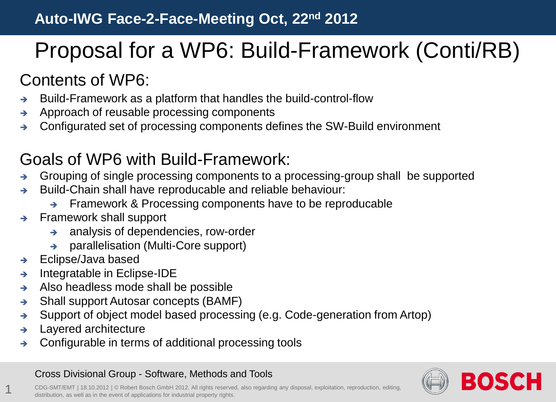# Proposal for a WP6: Build-Framework (Conti/RB)

## Contents of WP6:

- $\rightarrow$  Build-Framework as a platform that handles the build-control-flow
- $\rightarrow$  Approach of reusable processing components
- Configurated set of processing components defines the SW-Build environment

### Goals of WP6 with Build-Framework:

- Grouping of single processing components to a processing-group shall be supported
- $\rightarrow$  Build-Chain shall have reproducable and reliable behaviour:
	- $\rightarrow$  Framework & Processing components have to be reproducable
- $\rightarrow$  Framework shall support
	- $\rightarrow$  analysis of dependencies, row-order
	- $\rightarrow$  parallelisation (Multi-Core support)
- $\rightarrow$  Eclipse/Java based
- $\rightarrow$  Integratable in Eclipse-IDE
- $\rightarrow$  Also headless mode shall be possible
- $\rightarrow$  Shall support Autosar concepts (BAMF)
- $\rightarrow$  Support of object model based processing (e.g. Code-generation from Artop)
- $\rightarrow$  Layered architecture

1

 $\rightarrow$  Configurable in terms of additional processing tools

#### Cross Divisional Group - Software, Methods and Tools



CDG-SMT/EMT | 18.10.2012 | © Robert Bosch GmbH 2012. All rights reserved, also regarding any disposal, exploitation, reproduction, editing, distribution, as well as in the event of applications for industrial property rights.